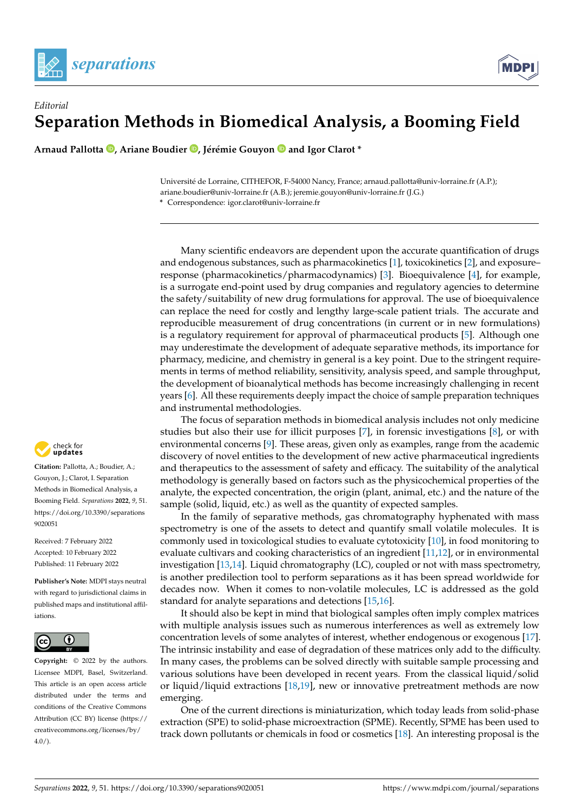



## *Editorial* **Separation Methods in Biomedical Analysis, a Booming Field**

**Arnaud Pallotta [,](https://orcid.org/0000-0001-5194-8748) Ariane Boudier [,](https://orcid.org/0000-0001-5975-3646) Jérémie Gouyon and Igor Clarot \***

Université de Lorraine, CITHEFOR, F-54000 Nancy, France; arnaud.pallotta@univ-lorraine.fr (A.P.); ariane.boudier@univ-lorraine.fr (A.B.); jeremie.gouyon@univ-lorraine.fr (J.G.) **\*** Correspondence: igor.clarot@univ-lorraine.fr

Many scientific endeavors are dependent upon the accurate quantification of drugs and endogenous substances, such as pharmacokinetics [\[1\]](#page-3-0), toxicokinetics [\[2\]](#page-3-1), and exposure– response (pharmacokinetics/pharmacodynamics) [\[3\]](#page-3-2). Bioequivalence [\[4\]](#page-3-3), for example, is a surrogate end-point used by drug companies and regulatory agencies to determine the safety/suitability of new drug formulations for approval. The use of bioequivalence can replace the need for costly and lengthy large-scale patient trials. The accurate and reproducible measurement of drug concentrations (in current or in new formulations) is a regulatory requirement for approval of pharmaceutical products [\[5\]](#page-3-4). Although one may underestimate the development of adequate separative methods, its importance for pharmacy, medicine, and chemistry in general is a key point. Due to the stringent requirements in terms of method reliability, sensitivity, analysis speed, and sample throughput, the development of bioanalytical methods has become increasingly challenging in recent years [\[6\]](#page-3-5). All these requirements deeply impact the choice of sample preparation techniques and instrumental methodologies.

The focus of separation methods in biomedical analysis includes not only medicine studies but also their use for illicit purposes [\[7\]](#page-3-6), in forensic investigations [\[8\]](#page-3-7), or with environmental concerns [\[9\]](#page-3-8). These areas, given only as examples, range from the academic discovery of novel entities to the development of new active pharmaceutical ingredients and therapeutics to the assessment of safety and efficacy. The suitability of the analytical methodology is generally based on factors such as the physicochemical properties of the analyte, the expected concentration, the origin (plant, animal, etc.) and the nature of the sample (solid, liquid, etc.) as well as the quantity of expected samples.

In the family of separative methods, gas chromatography hyphenated with mass spectrometry is one of the assets to detect and quantify small volatile molecules. It is commonly used in toxicological studies to evaluate cytotoxicity [\[10\]](#page-3-9), in food monitoring to evaluate cultivars and cooking characteristics of an ingredient [\[11](#page-3-10)[,12\]](#page-3-11), or in environmental investigation [\[13](#page-3-12)[,14\]](#page-3-13). Liquid chromatography (LC), coupled or not with mass spectrometry, is another predilection tool to perform separations as it has been spread worldwide for decades now. When it comes to non-volatile molecules, LC is addressed as the gold standard for analyte separations and detections [\[15](#page-3-14)[,16\]](#page-3-15).

It should also be kept in mind that biological samples often imply complex matrices with multiple analysis issues such as numerous interferences as well as extremely low concentration levels of some analytes of interest, whether endogenous or exogenous [\[17\]](#page-3-16). The intrinsic instability and ease of degradation of these matrices only add to the difficulty. In many cases, the problems can be solved directly with suitable sample processing and various solutions have been developed in recent years. From the classical liquid/solid or liquid/liquid extractions [\[18](#page-3-17)[,19\]](#page-3-18), new or innovative pretreatment methods are now emerging.

One of the current directions is miniaturization, which today leads from solid-phase extraction (SPE) to solid-phase microextraction (SPME). Recently, SPME has been used to track down pollutants or chemicals in food or cosmetics [\[18\]](#page-3-17). An interesting proposal is the



**Citation:** Pallotta, A.; Boudier, A.; Gouyon, J.; Clarot, I. Separation Methods in Biomedical Analysis, a Booming Field. *Separations* **2022**, *9*, 51. [https://doi.org/10.3390/separations](https://doi.org/10.3390/separations9020051) [9020051](https://doi.org/10.3390/separations9020051)

Received: 7 February 2022 Accepted: 10 February 2022 Published: 11 February 2022

**Publisher's Note:** MDPI stays neutral with regard to jurisdictional claims in published maps and institutional affiliations.



**Copyright:** © 2022 by the authors. Licensee MDPI, Basel, Switzerland. This article is an open access article distributed under the terms and conditions of the Creative Commons Attribution (CC BY) license [\(https://](https://creativecommons.org/licenses/by/4.0/) [creativecommons.org/licenses/by/](https://creativecommons.org/licenses/by/4.0/)  $4.0/$ ).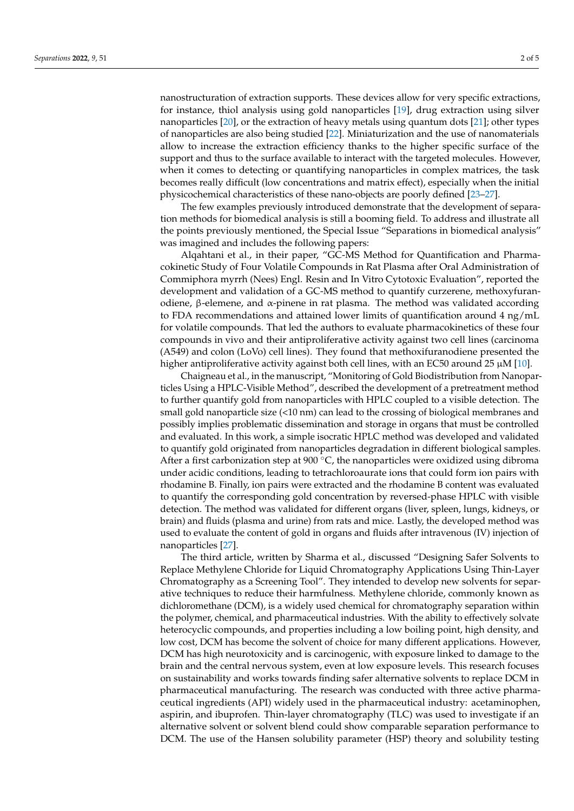nanostructuration of extraction supports. These devices allow for very specific extractions, for instance, thiol analysis using gold nanoparticles [\[19\]](#page-3-18), drug extraction using silver nanoparticles [\[20\]](#page-3-19), or the extraction of heavy metals using quantum dots [\[21\]](#page-3-20); other types of nanoparticles are also being studied [\[22\]](#page-3-21). Miniaturization and the use of nanomaterials allow to increase the extraction efficiency thanks to the higher specific surface of the support and thus to the surface available to interact with the targeted molecules. However, when it comes to detecting or quantifying nanoparticles in complex matrices, the task becomes really difficult (low concentrations and matrix effect), especially when the initial physicochemical characteristics of these nano-objects are poorly defined [\[23](#page-3-22)[–27\]](#page-4-0).

The few examples previously introduced demonstrate that the development of separation methods for biomedical analysis is still a booming field. To address and illustrate all the points previously mentioned, the Special Issue "Separations in biomedical analysis" was imagined and includes the following papers:

Alqahtani et al., in their paper, "GC-MS Method for Quantification and Pharmacokinetic Study of Four Volatile Compounds in Rat Plasma after Oral Administration of Commiphora myrrh (Nees) Engl. Resin and In Vitro Cytotoxic Evaluation", reported the development and validation of a GC-MS method to quantify curzerene, methoxyfuranodiene, β-elemene, and α-pinene in rat plasma. The method was validated according to FDA recommendations and attained lower limits of quantification around 4 ng/mL for volatile compounds. That led the authors to evaluate pharmacokinetics of these four compounds in vivo and their antiproliferative activity against two cell lines (carcinoma (A549) and colon (LoVo) cell lines). They found that methoxifuranodiene presented the higher antiproliferative activity against both cell lines, with an EC50 around 25  $\mu$ M [\[10\]](#page-3-9).

Chaigneau et al., in the manuscript, "Monitoring of Gold Biodistribution from Nanoparticles Using a HPLC-Visible Method", described the development of a pretreatment method to further quantify gold from nanoparticles with HPLC coupled to a visible detection. The small gold nanoparticle size (<10 nm) can lead to the crossing of biological membranes and possibly implies problematic dissemination and storage in organs that must be controlled and evaluated. In this work, a simple isocratic HPLC method was developed and validated to quantify gold originated from nanoparticles degradation in different biological samples. After a first carbonization step at 900  $\degree$ C, the nanoparticles were oxidized using dibroma under acidic conditions, leading to tetrachloroaurate ions that could form ion pairs with rhodamine B. Finally, ion pairs were extracted and the rhodamine B content was evaluated to quantify the corresponding gold concentration by reversed-phase HPLC with visible detection. The method was validated for different organs (liver, spleen, lungs, kidneys, or brain) and fluids (plasma and urine) from rats and mice. Lastly, the developed method was used to evaluate the content of gold in organs and fluids after intravenous (IV) injection of nanoparticles [\[27\]](#page-4-0).

The third article, written by Sharma et al., discussed "Designing Safer Solvents to Replace Methylene Chloride for Liquid Chromatography Applications Using Thin-Layer Chromatography as a Screening Tool". They intended to develop new solvents for separative techniques to reduce their harmfulness. Methylene chloride, commonly known as dichloromethane (DCM), is a widely used chemical for chromatography separation within the polymer, chemical, and pharmaceutical industries. With the ability to effectively solvate heterocyclic compounds, and properties including a low boiling point, high density, and low cost, DCM has become the solvent of choice for many different applications. However, DCM has high neurotoxicity and is carcinogenic, with exposure linked to damage to the brain and the central nervous system, even at low exposure levels. This research focuses on sustainability and works towards finding safer alternative solvents to replace DCM in pharmaceutical manufacturing. The research was conducted with three active pharmaceutical ingredients (API) widely used in the pharmaceutical industry: acetaminophen, aspirin, and ibuprofen. Thin-layer chromatography (TLC) was used to investigate if an alternative solvent or solvent blend could show comparable separation performance to DCM. The use of the Hansen solubility parameter (HSP) theory and solubility testing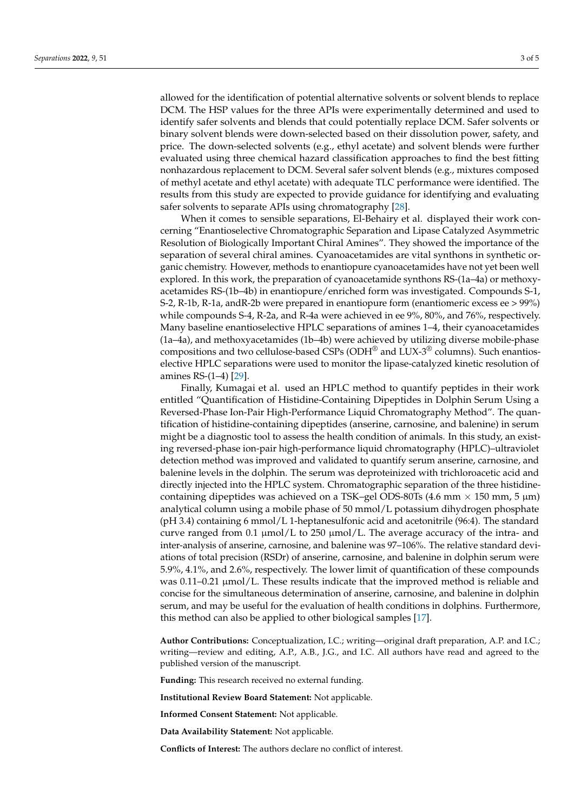allowed for the identification of potential alternative solvents or solvent blends to replace DCM. The HSP values for the three APIs were experimentally determined and used to identify safer solvents and blends that could potentially replace DCM. Safer solvents or binary solvent blends were down-selected based on their dissolution power, safety, and price. The down-selected solvents (e.g., ethyl acetate) and solvent blends were further evaluated using three chemical hazard classification approaches to find the best fitting nonhazardous replacement to DCM. Several safer solvent blends (e.g., mixtures composed of methyl acetate and ethyl acetate) with adequate TLC performance were identified. The results from this study are expected to provide guidance for identifying and evaluating safer solvents to separate APIs using chromatography [\[28\]](#page-4-1).

When it comes to sensible separations, El-Behairy et al. displayed their work concerning "Enantioselective Chromatographic Separation and Lipase Catalyzed Asymmetric Resolution of Biologically Important Chiral Amines". They showed the importance of the separation of several chiral amines. Cyanoacetamides are vital synthons in synthetic organic chemistry. However, methods to enantiopure cyanoacetamides have not yet been well explored. In this work, the preparation of cyanoacetamide synthons RS-(1a–4a) or methoxyacetamides RS-(1b–4b) in enantiopure/enriched form was investigated. Compounds S-1, S-2, R-1b, R-1a, andR-2b were prepared in enantiopure form (enantiomeric excess ee > 99%) while compounds S-4, R-2a, and R-4a were achieved in ee 9%, 80%, and 76%, respectively. Many baseline enantioselective HPLC separations of amines 1–4, their cyanoacetamides (1a–4a), and methoxyacetamides (1b–4b) were achieved by utilizing diverse mobile-phase compositions and two cellulose-based CSPs (ODH $^{\circledR}$  and LUX-3 $^{\circledR}$  columns). Such enantioselective HPLC separations were used to monitor the lipase-catalyzed kinetic resolution of amines RS-(1–4) [\[29\]](#page-4-2).

Finally, Kumagai et al. used an HPLC method to quantify peptides in their work entitled "Quantification of Histidine-Containing Dipeptides in Dolphin Serum Using a Reversed-Phase Ion-Pair High-Performance Liquid Chromatography Method". The quantification of histidine-containing dipeptides (anserine, carnosine, and balenine) in serum might be a diagnostic tool to assess the health condition of animals. In this study, an existing reversed-phase ion-pair high-performance liquid chromatography (HPLC)–ultraviolet detection method was improved and validated to quantify serum anserine, carnosine, and balenine levels in the dolphin. The serum was deproteinized with trichloroacetic acid and directly injected into the HPLC system. Chromatographic separation of the three histidinecontaining dipeptides was achieved on a TSK–gel ODS-80Ts (4.6 mm  $\times$  150 mm, 5  $\mu$ m) analytical column using a mobile phase of 50 mmol/L potassium dihydrogen phosphate (pH 3.4) containing 6 mmol/L 1-heptanesulfonic acid and acetonitrile (96:4). The standard curve ranged from 0.1  $\mu$ mol/L to 250  $\mu$ mol/L. The average accuracy of the intra- and inter-analysis of anserine, carnosine, and balenine was 97–106%. The relative standard deviations of total precision (RSDr) of anserine, carnosine, and balenine in dolphin serum were 5.9%, 4.1%, and 2.6%, respectively. The lower limit of quantification of these compounds was 0.11–0.21 µmol/L. These results indicate that the improved method is reliable and concise for the simultaneous determination of anserine, carnosine, and balenine in dolphin serum, and may be useful for the evaluation of health conditions in dolphins. Furthermore, this method can also be applied to other biological samples [\[17\]](#page-3-16).

**Author Contributions:** Conceptualization, I.C.; writing—original draft preparation, A.P. and I.C.; writing—review and editing, A.P., A.B., J.G., and I.C. All authors have read and agreed to the published version of the manuscript.

**Funding:** This research received no external funding.

**Institutional Review Board Statement:** Not applicable.

**Informed Consent Statement:** Not applicable.

**Data Availability Statement:** Not applicable.

**Conflicts of Interest:** The authors declare no conflict of interest.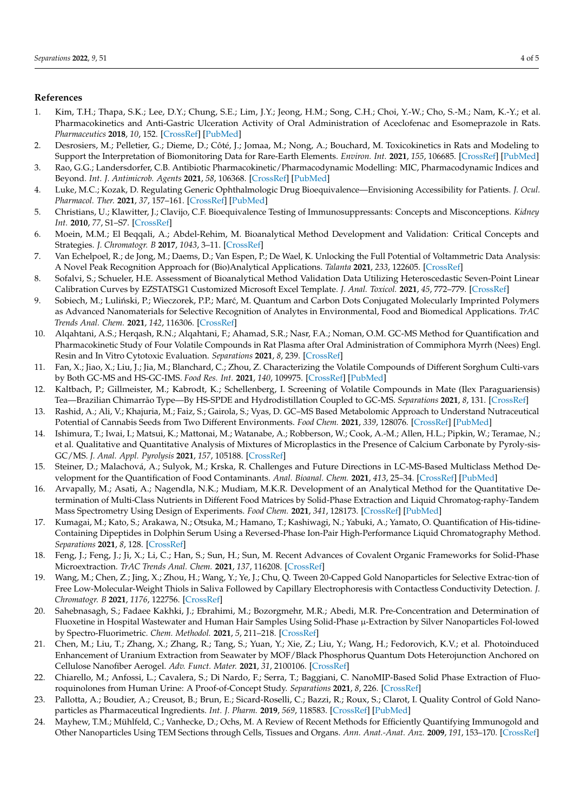## **References**

- <span id="page-3-0"></span>1. Kim, T.H.; Thapa, S.K.; Lee, D.Y.; Chung, S.E.; Lim, J.Y.; Jeong, H.M.; Song, C.H.; Choi, Y.-W.; Cho, S.-M.; Nam, K.-Y.; et al. Pharmacokinetics and Anti-Gastric Ulceration Activity of Oral Administration of Aceclofenac and Esomeprazole in Rats. *Pharmaceutics* **2018**, *10*, 152. [\[CrossRef\]](http://doi.org/10.3390/pharmaceutics10030152) [\[PubMed\]](http://www.ncbi.nlm.nih.gov/pubmed/30200587)
- <span id="page-3-1"></span>2. Desrosiers, M.; Pelletier, G.; Dieme, D.; Côté, J.; Jomaa, M.; Nong, A.; Bouchard, M. Toxicokinetics in Rats and Modeling to Support the Interpretation of Biomonitoring Data for Rare-Earth Elements. *Environ. Int.* **2021**, *155*, 106685. [\[CrossRef\]](http://doi.org/10.1016/j.envint.2021.106685) [\[PubMed\]](http://www.ncbi.nlm.nih.gov/pubmed/34134049)
- <span id="page-3-2"></span>3. Rao, G.G.; Landersdorfer, C.B. Antibiotic Pharmacokinetic/Pharmacodynamic Modelling: MIC, Pharmacodynamic Indices and Beyond. *Int. J. Antimicrob. Agents* **2021**, *58*, 106368. [\[CrossRef\]](http://doi.org/10.1016/j.ijantimicag.2021.106368) [\[PubMed\]](http://www.ncbi.nlm.nih.gov/pubmed/34058336)
- <span id="page-3-3"></span>4. Luke, M.C.; Kozak, D. Regulating Generic Ophthalmologic Drug Bioequivalence—Envisioning Accessibility for Patients. *J. Ocul. Pharmacol. Ther.* **2021**, *37*, 157–161. [\[CrossRef\]](http://doi.org/10.1089/jop.2020.0041) [\[PubMed\]](http://www.ncbi.nlm.nih.gov/pubmed/33332225)
- <span id="page-3-4"></span>5. Christians, U.; Klawitter, J.; Clavijo, C.F. Bioequivalence Testing of Immunosuppressants: Concepts and Misconceptions. *Kidney Int.* **2010**, *77*, S1–S7. [\[CrossRef\]](http://doi.org/10.1038/ki.2009.504)
- <span id="page-3-5"></span>6. Moein, M.M.; El Beqqali, A.; Abdel-Rehim, M. Bioanalytical Method Development and Validation: Critical Concepts and Strategies. *J. Chromatogr. B* **2017**, *1043*, 3–11. [\[CrossRef\]](http://doi.org/10.1016/j.jchromb.2016.09.028)
- <span id="page-3-6"></span>7. Van Echelpoel, R.; de Jong, M.; Daems, D.; Van Espen, P.; De Wael, K. Unlocking the Full Potential of Voltammetric Data Analysis: A Novel Peak Recognition Approach for (Bio)Analytical Applications. *Talanta* **2021**, *233*, 122605. [\[CrossRef\]](http://doi.org/10.1016/j.talanta.2021.122605)
- <span id="page-3-7"></span>8. Sofalvi, S.; Schueler, H.E. Assessment of Bioanalytical Method Validation Data Utilizing Heteroscedastic Seven-Point Linear Calibration Curves by EZSTATSG1 Customized Microsoft Excel Template. *J. Anal. Toxicol.* **2021**, *45*, 772–779. [\[CrossRef\]](http://doi.org/10.1093/jat/bkab047)
- <span id="page-3-8"></span>9. Sobiech, M.; Luliński, P.; Wieczorek, P.P.; Marć, M. Quantum and Carbon Dots Conjugated Molecularly Imprinted Polymers as Advanced Nanomaterials for Selective Recognition of Analytes in Environmental, Food and Biomedical Applications. *TrAC Trends Anal. Chem.* **2021**, *142*, 116306. [\[CrossRef\]](http://doi.org/10.1016/j.trac.2021.116306)
- <span id="page-3-9"></span>10. Alqahtani, A.S.; Herqash, R.N.; Alqahtani, F.; Ahamad, S.R.; Nasr, F.A.; Noman, O.M. GC-MS Method for Quantification and Pharmacokinetic Study of Four Volatile Compounds in Rat Plasma after Oral Administration of Commiphora Myrrh (Nees) Engl. Resin and In Vitro Cytotoxic Evaluation. *Separations* **2021**, *8*, 239. [\[CrossRef\]](http://doi.org/10.3390/separations8120239)
- <span id="page-3-10"></span>11. Fan, X.; Jiao, X.; Liu, J.; Jia, M.; Blanchard, C.; Zhou, Z. Characterizing the Volatile Compounds of Different Sorghum Culti-vars by Both GC-MS and HS-GC-IMS. *Food Res. Int.* **2021**, *140*, 109975. [\[CrossRef\]](http://doi.org/10.1016/j.foodres.2020.109975) [\[PubMed\]](http://www.ncbi.nlm.nih.gov/pubmed/33648211)
- <span id="page-3-11"></span>12. Kaltbach, P.; Gillmeister, M.; Kabrodt, K.; Schellenberg, I. Screening of Volatile Compounds in Mate (Ilex Paraguariensis) Tea—Brazilian Chimarrão Type—By HS-SPDE and Hydrodistillation Coupled to GC-MS. *Separations* **2021**, *8*, 131. [\[CrossRef\]](http://doi.org/10.3390/separations8090131)
- <span id="page-3-12"></span>13. Rashid, A.; Ali, V.; Khajuria, M.; Faiz, S.; Gairola, S.; Vyas, D. GC–MS Based Metabolomic Approach to Understand Nutraceutical Potential of Cannabis Seeds from Two Different Environments. *Food Chem.* **2021**, *339*, 128076. [\[CrossRef\]](http://doi.org/10.1016/j.foodchem.2020.128076) [\[PubMed\]](http://www.ncbi.nlm.nih.gov/pubmed/33152869)
- <span id="page-3-13"></span>14. Ishimura, T.; Iwai, I.; Matsui, K.; Mattonai, M.; Watanabe, A.; Robberson, W.; Cook, A.-M.; Allen, H.L.; Pipkin, W.; Teramae, N.; et al. Qualitative and Quantitative Analysis of Mixtures of Microplastics in the Presence of Calcium Carbonate by Pyroly-sis-GC/MS. *J. Anal. Appl. Pyrolysis* **2021**, *157*, 105188. [\[CrossRef\]](http://doi.org/10.1016/j.jaap.2021.105188)
- <span id="page-3-14"></span>15. Steiner, D.; Malachová, A.; Sulyok, M.; Krska, R. Challenges and Future Directions in LC-MS-Based Multiclass Method Development for the Quantification of Food Contaminants. *Anal. Bioanal. Chem.* **2021**, *413*, 25–34. [\[CrossRef\]](http://doi.org/10.1007/s00216-020-03015-7) [\[PubMed\]](http://www.ncbi.nlm.nih.gov/pubmed/33188454)
- <span id="page-3-15"></span>16. Arvapally, M.; Asati, A.; Nagendla, N.K.; Mudiam, M.K.R. Development of an Analytical Method for the Quantitative Determination of Multi-Class Nutrients in Different Food Matrices by Solid-Phase Extraction and Liquid Chromatog-raphy-Tandem Mass Spectrometry Using Design of Experiments. *Food Chem.* **2021**, *341*, 128173. [\[CrossRef\]](http://doi.org/10.1016/j.foodchem.2020.128173) [\[PubMed\]](http://www.ncbi.nlm.nih.gov/pubmed/33045585)
- <span id="page-3-16"></span>17. Kumagai, M.; Kato, S.; Arakawa, N.; Otsuka, M.; Hamano, T.; Kashiwagi, N.; Yabuki, A.; Yamato, O. Quantification of His-tidine-Containing Dipeptides in Dolphin Serum Using a Reversed-Phase Ion-Pair High-Performance Liquid Chromatography Method. *Separations* **2021**, *8*, 128. [\[CrossRef\]](http://doi.org/10.3390/separations8080128)
- <span id="page-3-17"></span>18. Feng, J.; Feng, J.; Ji, X.; Li, C.; Han, S.; Sun, H.; Sun, M. Recent Advances of Covalent Organic Frameworks for Solid-Phase Microextraction. *TrAC Trends Anal. Chem.* **2021**, *137*, 116208. [\[CrossRef\]](http://doi.org/10.1016/j.trac.2021.116208)
- <span id="page-3-18"></span>19. Wang, M.; Chen, Z.; Jing, X.; Zhou, H.; Wang, Y.; Ye, J.; Chu, Q. Tween 20-Capped Gold Nanoparticles for Selective Extrac-tion of Free Low-Molecular-Weight Thiols in Saliva Followed by Capillary Electrophoresis with Contactless Conductivity Detection. *J. Chromatogr. B* **2021**, *1176*, 122756. [\[CrossRef\]](http://doi.org/10.1016/j.jchromb.2021.122756)
- <span id="page-3-19"></span>20. Sahebnasagh, S.; Fadaee Kakhki, J.; Ebrahimi, M.; Bozorgmehr, M.R.; Abedi, M.R. Pre-Concentration and Determination of Fluoxetine in Hospital Wastewater and Human Hair Samples Using Solid-Phase µ-Extraction by Silver Nanoparticles Fol-lowed by Spectro-Fluorimetric. *Chem. Methodol.* **2021**, *5*, 211–218. [\[CrossRef\]](http://doi.org/10.22034/chemm.2021.125661)
- <span id="page-3-20"></span>21. Chen, M.; Liu, T.; Zhang, X.; Zhang, R.; Tang, S.; Yuan, Y.; Xie, Z.; Liu, Y.; Wang, H.; Fedorovich, K.V.; et al. Photoinduced Enhancement of Uranium Extraction from Seawater by MOF/Black Phosphorus Quantum Dots Heterojunction Anchored on Cellulose Nanofiber Aerogel. *Adv. Funct. Mater.* **2021**, *31*, 2100106. [\[CrossRef\]](http://doi.org/10.1002/adfm.202100106)
- <span id="page-3-21"></span>22. Chiarello, M.; Anfossi, L.; Cavalera, S.; Di Nardo, F.; Serra, T.; Baggiani, C. NanoMIP-Based Solid Phase Extraction of Fluoroquinolones from Human Urine: A Proof-of-Concept Study. *Separations* **2021**, *8*, 226. [\[CrossRef\]](http://doi.org/10.3390/separations8110226)
- <span id="page-3-22"></span>23. Pallotta, A.; Boudier, A.; Creusot, B.; Brun, E.; Sicard-Roselli, C.; Bazzi, R.; Roux, S.; Clarot, I. Quality Control of Gold Nanoparticles as Pharmaceutical Ingredients. *Int. J. Pharm.* **2019**, *569*, 118583. [\[CrossRef\]](http://doi.org/10.1016/j.ijpharm.2019.118583) [\[PubMed\]](http://www.ncbi.nlm.nih.gov/pubmed/31376468)
- 24. Mayhew, T.M.; Mühlfeld, C.; Vanhecke, D.; Ochs, M. A Review of Recent Methods for Efficiently Quantifying Immunogold and Other Nanoparticles Using TEM Sections through Cells, Tissues and Organs. *Ann. Anat.-Anat. Anz.* **2009**, *191*, 153–170. [\[CrossRef\]](http://doi.org/10.1016/j.aanat.2008.11.001)